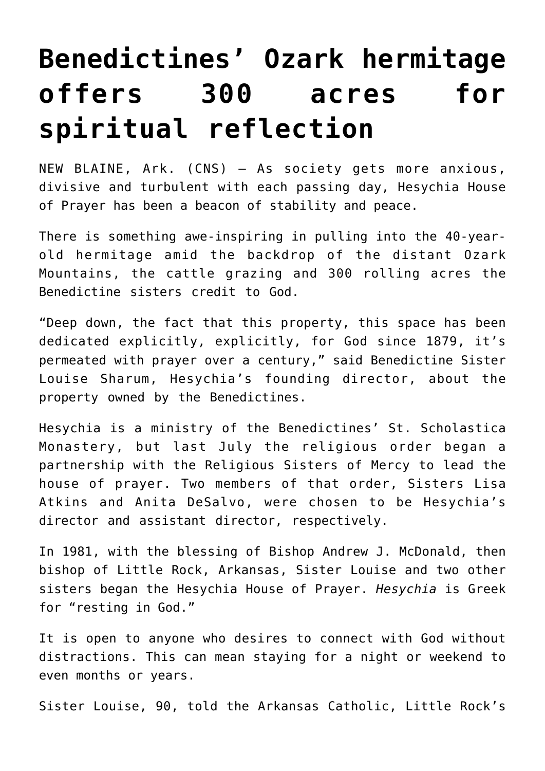## **[Benedictines' Ozark hermitage](https://www.osvnews.com/amp/2022/01/28/benedictines-ozark-hermitage-offers-300-acres-for-spiritual-reflection/) [offers 300 acres for](https://www.osvnews.com/amp/2022/01/28/benedictines-ozark-hermitage-offers-300-acres-for-spiritual-reflection/) [spiritual reflection](https://www.osvnews.com/amp/2022/01/28/benedictines-ozark-hermitage-offers-300-acres-for-spiritual-reflection/)**

NEW BLAINE, Ark. (CNS) — As society gets more anxious, divisive and turbulent with each passing day, Hesychia House of Prayer has been a beacon of stability and peace.

There is something awe-inspiring in pulling into the 40-yearold hermitage amid the backdrop of the distant Ozark Mountains, the cattle grazing and 300 rolling acres the Benedictine sisters credit to God.

"Deep down, the fact that this property, this space has been dedicated explicitly, explicitly, for God since 1879, it's permeated with prayer over a century," said Benedictine Sister Louise Sharum, Hesychia's founding director, about the property owned by the Benedictines.

Hesychia is a ministry of the Benedictines' St. Scholastica Monastery, but last July the religious order began a partnership with the Religious Sisters of Mercy to lead the house of prayer. Two members of that order, Sisters Lisa Atkins and Anita DeSalvo, were chosen to be Hesychia's director and assistant director, respectively.

In 1981, with the blessing of Bishop Andrew J. McDonald, then bishop of Little Rock, Arkansas, Sister Louise and two other sisters began the Hesychia House of Prayer. *Hesychia* is Greek for "resting in God."

It is open to anyone who desires to connect with God without distractions. This can mean staying for a night or weekend to even months or years.

Sister Louise, 90, told the Arkansas Catholic, Little Rock's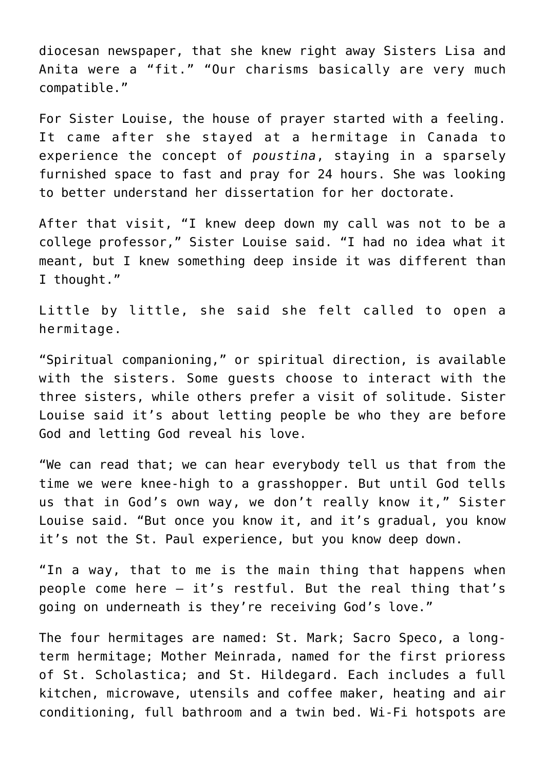diocesan newspaper, that she knew right away Sisters Lisa and Anita were a "fit." "Our charisms basically are very much compatible."

For Sister Louise, the house of prayer started with a feeling. It came after she stayed at a hermitage in Canada to experience the concept of *poustina*, staying in a sparsely furnished space to fast and pray for 24 hours. She was looking to better understand her dissertation for her doctorate.

After that visit, "I knew deep down my call was not to be a college professor," Sister Louise said. "I had no idea what it meant, but I knew something deep inside it was different than I thought."

Little by little, she said she felt called to open a hermitage.

"Spiritual companioning," or spiritual direction, is available with the sisters. Some guests choose to interact with the three sisters, while others prefer a visit of solitude. Sister Louise said it's about letting people be who they are before God and letting God reveal his love.

"We can read that; we can hear everybody tell us that from the time we were knee-high to a grasshopper. But until God tells us that in God's own way, we don't really know it," Sister Louise said. "But once you know it, and it's gradual, you know it's not the St. Paul experience, but you know deep down.

"In a way, that to me is the main thing that happens when people come here — it's restful. But the real thing that's going on underneath is they're receiving God's love."

The four hermitages are named: St. Mark; Sacro Speco, a longterm hermitage; Mother Meinrada, named for the first prioress of St. Scholastica; and St. Hildegard. Each includes a full kitchen, microwave, utensils and coffee maker, heating and air conditioning, full bathroom and a twin bed. Wi-Fi hotspots are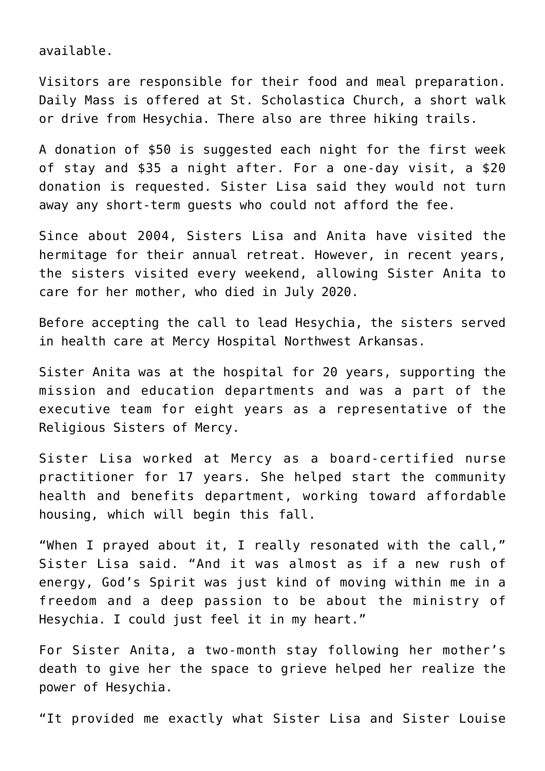available.

Visitors are responsible for their food and meal preparation. Daily Mass is offered at St. Scholastica Church, a short walk or drive from Hesychia. There also are three hiking trails.

A donation of \$50 is suggested each night for the first week of stay and \$35 a night after. For a one-day visit, a \$20 donation is requested. Sister Lisa said they would not turn away any short-term guests who could not afford the fee.

Since about 2004, Sisters Lisa and Anita have visited the hermitage for their annual retreat. However, in recent years, the sisters visited every weekend, allowing Sister Anita to care for her mother, who died in July 2020.

Before accepting the call to lead Hesychia, the sisters served in health care at Mercy Hospital Northwest Arkansas.

Sister Anita was at the hospital for 20 years, supporting the mission and education departments and was a part of the executive team for eight years as a representative of the Religious Sisters of Mercy.

Sister Lisa worked at Mercy as a board-certified nurse practitioner for 17 years. She helped start the community health and benefits department, working toward affordable housing, which will begin this fall.

"When I prayed about it, I really resonated with the call," Sister Lisa said. "And it was almost as if a new rush of energy, God's Spirit was just kind of moving within me in a freedom and a deep passion to be about the ministry of Hesychia. I could just feel it in my heart."

For Sister Anita, a two-month stay following her mother's death to give her the space to grieve helped her realize the power of Hesychia.

"It provided me exactly what Sister Lisa and Sister Louise